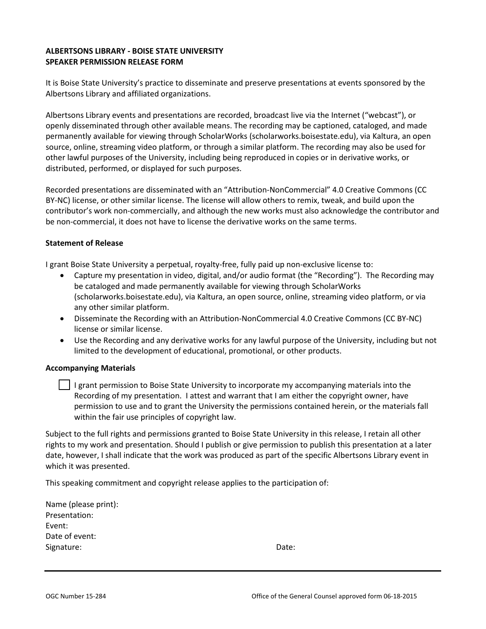## **ALBERTSONS LIBRARY - BOISE STATE UNIVERSITY SPEAKER PERMISSION RELEASE FORM**

It is Boise State University's practice to disseminate and preserve presentations at events sponsored by the Albertsons Library and affiliated organizations.

Albertsons Library events and presentations are recorded, broadcast live via the Internet ("webcast"), or openly disseminated through other available means. The recording may be captioned, cataloged, and made permanently available for viewing through ScholarWorks (scholarworks.boisestate.edu), via Kaltura, an open source, online, streaming video platform, or through a similar platform. The recording may also be used for other lawful purposes of the University, including being reproduced in copies or in derivative works, or distributed, performed, or displayed for such purposes.

Recorded presentations are disseminated with an "Attribution-NonCommercial" 4.0 Creative Commons (CC BY-NC) license, or other similar license. The license will allow others to remix, tweak, and build upon the contributor's work non-commercially, and although the new works must also acknowledge the contributor and be non-commercial, it does not have to license the derivative works on the same terms.

## **Statement of Release**

I grant Boise State University a perpetual, royalty-free, fully paid up non-exclusive license to:

- Capture my presentation in video, digital, and/or audio format (the "Recording"). The Recording may be cataloged and made permanently available for viewing through ScholarWorks (scholarworks.boisestate.edu), via Kaltura, an open source, online, streaming video platform, or via any other similar platform.
- Disseminate the Recording with an Attribution-NonCommercial 4.0 Creative Commons (CC BY-NC) license or similar license.
- Use the Recording and any derivative works for any lawful purpose of the University, including but not limited to the development of educational, promotional, or other products.

## **Accompanying Materials**

| I grant permission to Boise State University to incorporate my accompanying materials into the        |
|-------------------------------------------------------------------------------------------------------|
| Recording of my presentation. I attest and warrant that I am either the copyright owner, have         |
| permission to use and to grant the University the permissions contained herein, or the materials fall |
| within the fair use principles of copyright law.                                                      |

Subject to the full rights and permissions granted to Boise State University in this release, I retain all other rights to my work and presentation. Should I publish or give permission to publish this presentation at a later date, however, I shall indicate that the work was produced as part of the specific Albertsons Library event in which it was presented.

This speaking commitment and copyright release applies to the participation of:

| Name (please print): |       |
|----------------------|-------|
| Presentation:        |       |
| Event:               |       |
| Date of event:       |       |
| Signature:           | Date: |